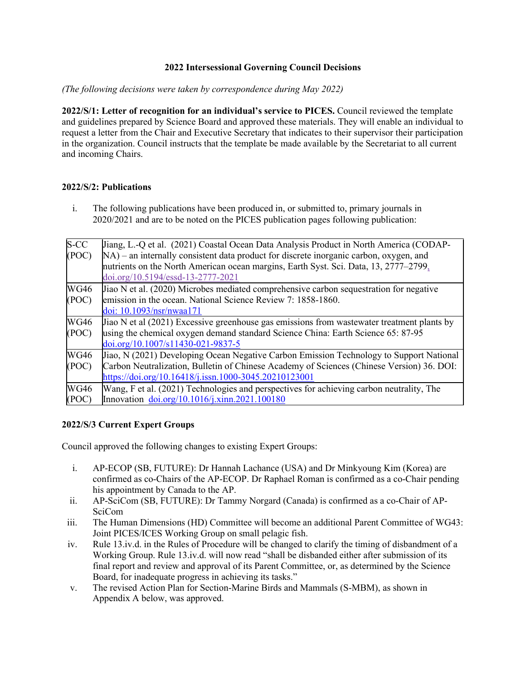## **2022 Intersessional Governing Council Decisions**

*(The following decisions were taken by correspondence during May 2022)* 

**2022/S/1: Letter of recognition for an individual's service to PICES.** Council reviewed the template and guidelines prepared by Science Board and approved these materials. They will enable an individual to request a letter from the Chair and Executive Secretary that indicates to their supervisor their participation in the organization. Council instructs that the template be made available by the Secretariat to all current and incoming Chairs.

## **2022/S/2: Publications**

i. The following publications have been produced in, or submitted to, primary journals in 2020/2021 and are to be noted on the PICES publication pages following publication:

| $S-CC$      | Jiang, L.-Q et al. (2021) Coastal Ocean Data Analysis Product in North America (CODAP-     |  |  |  |
|-------------|--------------------------------------------------------------------------------------------|--|--|--|
| (POC)       | $NA$ ) – an internally consistent data product for discrete inorganic carbon, oxygen, and  |  |  |  |
|             | nutrients on the North American ocean margins, Earth Syst. Sci. Data, 13, 2777–2799,       |  |  |  |
|             | doi.org/10.5194/essd-13-2777-2021                                                          |  |  |  |
| <b>WG46</b> | Jiao N et al. (2020) Microbes mediated comprehensive carbon sequestration for negative     |  |  |  |
| (POC)       | lemission in the ocean. National Science Review 7: 1858-1860.                              |  |  |  |
|             | doi: 10.1093/nsr/nwaa171                                                                   |  |  |  |
| <b>WG46</b> | Jiao N et al (2021) Excessive greenhouse gas emissions from wastewater treatment plants by |  |  |  |
| (POC)       | using the chemical oxygen demand standard Science China: Earth Science 65: 87-95           |  |  |  |
|             | doi.org/10.1007/s11430-021-9837-5                                                          |  |  |  |
| <b>WG46</b> | Jiao, N (2021) Developing Ocean Negative Carbon Emission Technology to Support National    |  |  |  |
| (POC)       | Carbon Neutralization, Bulletin of Chinese Academy of Sciences (Chinese Version) 36. DOI:  |  |  |  |
|             | https://doi.org/10.16418/j.issn.1000-3045.20210123001                                      |  |  |  |
| <b>WG46</b> | Wang, F et al. (2021) Technologies and perspectives for achieving carbon neutrality, The   |  |  |  |
| (POC)       | Innovation doi.org/10.1016/j.xinn.2021.100180                                              |  |  |  |
|             |                                                                                            |  |  |  |

## **2022/S/3 Current Expert Groups**

Council approved the following changes to existing Expert Groups:

- i. AP-ECOP (SB, FUTURE): Dr Hannah Lachance (USA) and Dr Minkyoung Kim (Korea) are confirmed as co-Chairs of the AP-ECOP. Dr Raphael Roman is confirmed as a co-Chair pending his appointment by Canada to the AP.
- ii. AP-SciCom (SB, FUTURE): Dr Tammy Norgard (Canada) is confirmed as a co-Chair of AP-SciCom
- iii. The Human Dimensions (HD) Committee will become an additional Parent Committee of WG43: Joint PICES/ICES Working Group on small pelagic fish.
- iv. Rule 13.iv.d. in the Rules of Procedure will be changed to clarify the timing of disbandment of a Working Group. Rule 13.iv.d. will now read "shall be disbanded either after submission of its final report and review and approval of its Parent Committee, or, as determined by the Science Board, for inadequate progress in achieving its tasks."
- v. The revised Action Plan for Section-Marine Birds and Mammals (S-MBM), as shown in Appendix A below, was approved.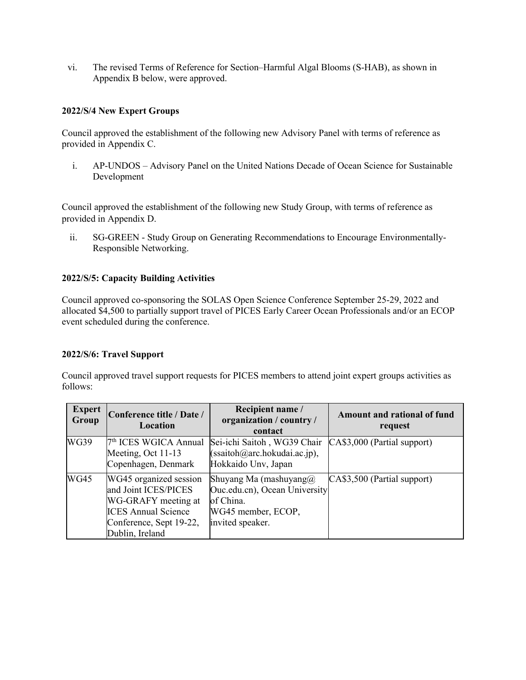vi. The revised Terms of Reference for Section–Harmful Algal Blooms (S-HAB), as shown in Appendix B below, were approved.

## **2022/S/4 New Expert Groups**

Council approved the establishment of the following new Advisory Panel with terms of reference as provided in Appendix C.

i. AP-UNDOS – Advisory Panel on the United Nations Decade of Ocean Science for Sustainable Development

Council approved the establishment of the following new Study Group, with terms of reference as provided in Appendix D.

ii. SG-GREEN - Study Group on Generating Recommendations to Encourage Environmentally-Responsible Networking.

## **2022/S/5: Capacity Building Activities**

Council approved co-sponsoring the SOLAS Open Science Conference September 25-29, 2022 and allocated \$4,500 to partially support travel of PICES Early Career Ocean Professionals and/or an ECOP event scheduled during the conference.

## **2022/S/6: Travel Support**

Council approved travel support requests for PICES members to attend joint expert groups activities as follows:

| <b>Expert</b><br>Group | Conference title / Date /<br><b>Location</b>                                                                                                      | Recipient name /<br>organization / country /<br>contact                                                           | Amount and rational of fund<br>request |
|------------------------|---------------------------------------------------------------------------------------------------------------------------------------------------|-------------------------------------------------------------------------------------------------------------------|----------------------------------------|
| <b>WG39</b>            | 7 <sup>th</sup> ICES WGICA Annual<br>Meeting, Oct 11-13<br>Copenhagen, Denmark                                                                    | Sei-ichi Saitoh, WG39 Chair<br>(ssaitoh@arc.hokudai.ac.jp),<br>Hokkaido Unv, Japan                                | CA\$3,000 (Partial support)            |
| <b>WG45</b>            | WG45 organized session<br>and Joint ICES/PICES<br>WG-GRAFY meeting at<br><b>ICES Annual Science</b><br>Conference, Sept 19-22,<br>Dublin, Ireland | Shuyang Ma (mashuyang $@$<br>Ouc.edu.cn), Ocean University<br>of China.<br>WG45 member, ECOP,<br>invited speaker. | CA\$3,500 (Partial support)            |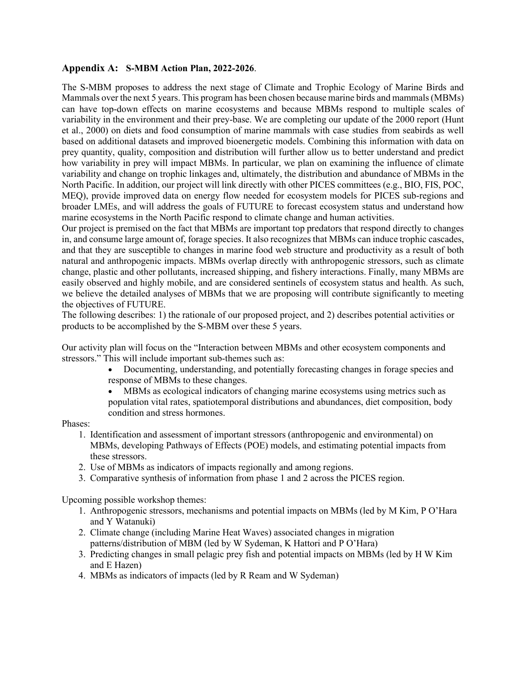## **Appendix A: S-MBM Action Plan, 2022-2026**.

The S-MBM proposes to address the next stage of Climate and Trophic Ecology of Marine Birds and Mammals over the next 5 years. This program has been chosen because marine birds and mammals (MBMs) can have top-down effects on marine ecosystems and because MBMs respond to multiple scales of variability in the environment and their prey-base. We are completing our update of the 2000 report (Hunt et al., 2000) on diets and food consumption of marine mammals with case studies from seabirds as well based on additional datasets and improved bioenergetic models. Combining this information with data on prey quantity, quality, composition and distribution will further allow us to better understand and predict how variability in prey will impact MBMs. In particular, we plan on examining the influence of climate variability and change on trophic linkages and, ultimately, the distribution and abundance of MBMs in the North Pacific. In addition, our project will link directly with other PICES committees (e.g., BIO, FIS, POC, MEQ), provide improved data on energy flow needed for ecosystem models for PICES sub-regions and broader LMEs, and will address the goals of FUTURE to forecast ecosystem status and understand how marine ecosystems in the North Pacific respond to climate change and human activities.

Our project is premised on the fact that MBMs are important top predators that respond directly to changes in, and consume large amount of, forage species. It also recognizes that MBMs can induce trophic cascades, and that they are susceptible to changes in marine food web structure and productivity as a result of both natural and anthropogenic impacts. MBMs overlap directly with anthropogenic stressors, such as climate change, plastic and other pollutants, increased shipping, and fishery interactions. Finally, many MBMs are easily observed and highly mobile, and are considered sentinels of ecosystem status and health. As such, we believe the detailed analyses of MBMs that we are proposing will contribute significantly to meeting the objectives of FUTURE.

The following describes: 1) the rationale of our proposed project, and 2) describes potential activities or products to be accomplished by the S-MBM over these 5 years.

Our activity plan will focus on the "Interaction between MBMs and other ecosystem components and stressors." This will include important sub-themes such as:

- Documenting, understanding, and potentially forecasting changes in forage species and response of MBMs to these changes.
- MBMs as ecological indicators of changing marine ecosystems using metrics such as population vital rates, spatiotemporal distributions and abundances, diet composition, body condition and stress hormones.

Phases:

- 1. Identification and assessment of important stressors (anthropogenic and environmental) on MBMs, developing Pathways of Effects (POE) models, and estimating potential impacts from these stressors.
- 2. Use of MBMs as indicators of impacts regionally and among regions.
- 3. Comparative synthesis of information from phase 1 and 2 across the PICES region.

Upcoming possible workshop themes:

- 1. Anthropogenic stressors, mechanisms and potential impacts on MBMs (led by M Kim, P O'Hara and Y Watanuki)
- 2. Climate change (including Marine Heat Waves) associated changes in migration patterns/distribution of MBM (led by W Sydeman, K Hattori and P O'Hara)
- 3. Predicting changes in small pelagic prey fish and potential impacts on MBMs (led by H W Kim and E Hazen)
- 4. MBMs as indicators of impacts (led by R Ream and W Sydeman)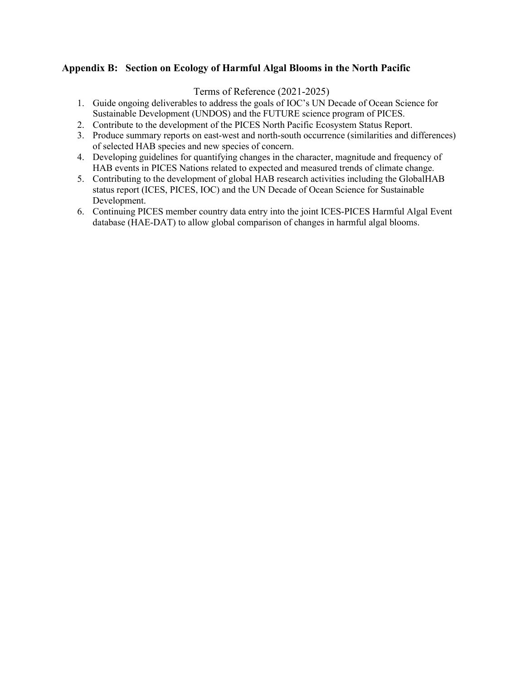## **Appendix B: Section on Ecology of Harmful Algal Blooms in the North Pacific**

Terms of Reference (2021-2025)

- 1. Guide ongoing deliverables to address the goals of IOC's UN Decade of Ocean Science for Sustainable Development (UNDOS) and the FUTURE science program of PICES.
- 2. Contribute to the development of the PICES North Pacific Ecosystem Status Report.
- 3. Produce summary reports on east-west and north-south occurrence (similarities and differences) of selected HAB species and new species of concern.
- 4. Developing guidelines for quantifying changes in the character, magnitude and frequency of HAB events in PICES Nations related to expected and measured trends of climate change.
- 5. Contributing to the development of global HAB research activities including the GlobalHAB status report (ICES, PICES, IOC) and the UN Decade of Ocean Science for Sustainable Development.
- 6. Continuing PICES member country data entry into the joint ICES-PICES Harmful Algal Event database (HAE-DAT) to allow global comparison of changes in harmful algal blooms.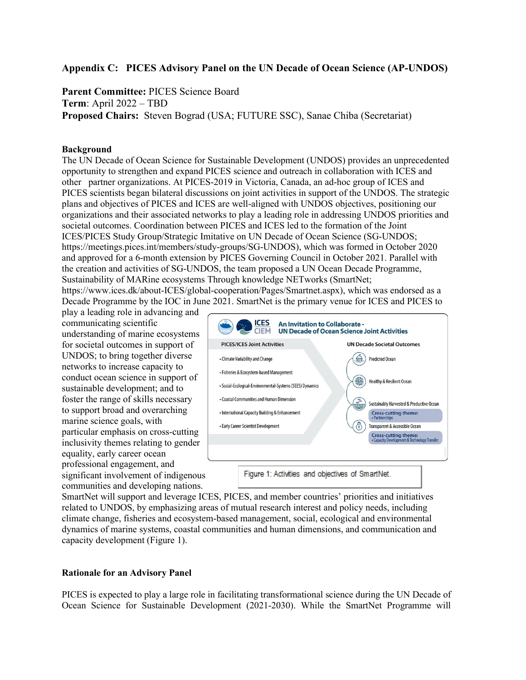## **Appendix C: PICES Advisory Panel on the UN Decade of Ocean Science (AP-UNDOS)**

**Parent Committee:** PICES Science Board **Term**: April 2022 – TBD **Proposed Chairs:** Steven Bograd (USA; FUTURE SSC), Sanae Chiba (Secretariat)

#### **Background**

The UN Decade of Ocean Science for Sustainable Development (UNDOS) provides an unprecedented opportunity to strengthen and expand PICES science and outreach in collaboration with ICES and other partner organizations. At PICES-2019 in Victoria, Canada, an ad-hoc group of ICES and PICES scientists began bilateral discussions on joint activities in support of the UNDOS. The strategic plans and objectives of PICES and ICES are well-aligned with UNDOS objectives, positioning our organizations and their associated networks to play a leading role in addressing UNDOS priorities and societal outcomes. Coordination between PICES and ICES led to the formation of the Joint ICES/PICES Study Group/Strategic Imitative on UN Decade of Ocean Science (SG-UNDOS; https://meetings.pices.int/members/study-groups/SG-UNDOS), which was formed in October 2020 and approved for a 6-month extension by PICES Governing Council in October 2021. Parallel with the creation and activities of SG-UNDOS, the team proposed a UN Ocean Decade Programme, Sustainability of MARine ecosystems Through knowledge NETworks (SmartNet;

https://www.ices.dk/about-ICES/global-cooperation/Pages/Smartnet.aspx), which was endorsed as a Decade Programme by the IOC in June 2021. SmartNet is the primary venue for ICES and PICES to

play a leading role in advancing and communicating scientific understanding of marine ecosystems for societal outcomes in support of UNDOS; to bring together diverse networks to increase capacity to conduct ocean science in support of sustainable development; and to foster the range of skills necessary to support broad and overarching marine science goals, with particular emphasis on cross-cutting inclusivity themes relating to gender equality, early career ocean professional engagement, and significant involvement of indigenous communities and developing nations.



SmartNet will support and leverage ICES, PICES, and member countries' priorities and initiatives related to UNDOS, by emphasizing areas of mutual research interest and policy needs, including climate change, fisheries and ecosystem-based management, social, ecological and environmental dynamics of marine systems, coastal communities and human dimensions, and communication and capacity development (Figure 1).

#### **Rationale for an Advisory Panel**

PICES is expected to play a large role in facilitating transformational science during the UN Decade of Ocean Science for Sustainable Development (2021-2030). While the SmartNet Programme will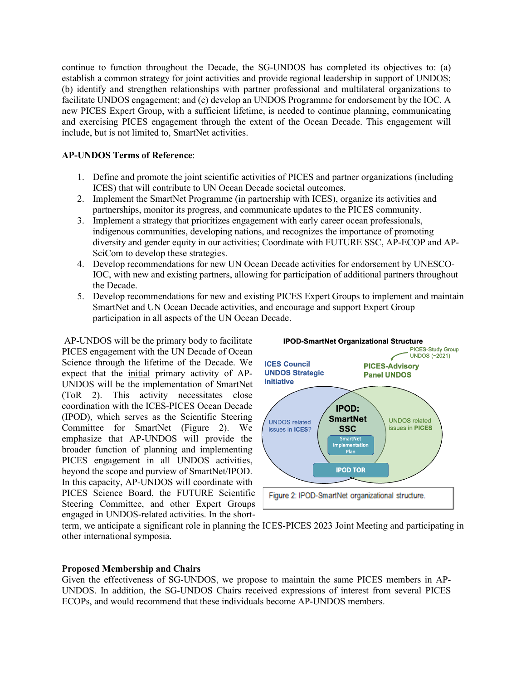continue to function throughout the Decade, the SG-UNDOS has completed its objectives to: (a) establish a common strategy for joint activities and provide regional leadership in support of UNDOS; (b) identify and strengthen relationships with partner professional and multilateral organizations to facilitate UNDOS engagement; and (c) develop an UNDOS Programme for endorsement by the IOC. A new PICES Expert Group, with a sufficient lifetime, is needed to continue planning, communicating and exercising PICES engagement through the extent of the Ocean Decade. This engagement will include, but is not limited to, SmartNet activities.

### **AP-UNDOS Terms of Reference**:

- 1. Define and promote the joint scientific activities of PICES and partner organizations (including ICES) that will contribute to UN Ocean Decade societal outcomes.
- 2. Implement the SmartNet Programme (in partnership with ICES), organize its activities and partnerships, monitor its progress, and communicate updates to the PICES community.
- 3. Implement a strategy that prioritizes engagement with early career ocean professionals, indigenous communities, developing nations, and recognizes the importance of promoting diversity and gender equity in our activities; Coordinate with FUTURE SSC, AP-ECOP and AP-SciCom to develop these strategies.
- 4. Develop recommendations for new UN Ocean Decade activities for endorsement by UNESCO-IOC, with new and existing partners, allowing for participation of additional partners throughout the Decade.
- 5. Develop recommendations for new and existing PICES Expert Groups to implement and maintain SmartNet and UN Ocean Decade activities, and encourage and support Expert Group participation in all aspects of the UN Ocean Decade.

AP-UNDOS will be the primary body to facilitate PICES engagement with the UN Decade of Ocean Science through the lifetime of the Decade. We expect that the initial primary activity of AP-UNDOS will be the implementation of SmartNet (ToR 2). This activity necessitates close coordination with the ICES-PICES Ocean Decade (IPOD), which serves as the Scientific Steering Committee for SmartNet (Figure 2). We emphasize that AP-UNDOS will provide the broader function of planning and implementing PICES engagement in all UNDOS activities, beyond the scope and purview of SmartNet/IPOD. In this capacity, AP-UNDOS will coordinate with PICES Science Board, the FUTURE Scientific Steering Committee, and other Expert Groups engaged in UNDOS-related activities. In the short-



term, we anticipate a significant role in planning the ICES-PICES 2023 Joint Meeting and participating in other international symposia.

#### **Proposed Membership and Chairs**

Given the effectiveness of SG-UNDOS, we propose to maintain the same PICES members in AP-UNDOS. In addition, the SG-UNDOS Chairs received expressions of interest from several PICES ECOPs, and would recommend that these individuals become AP-UNDOS members.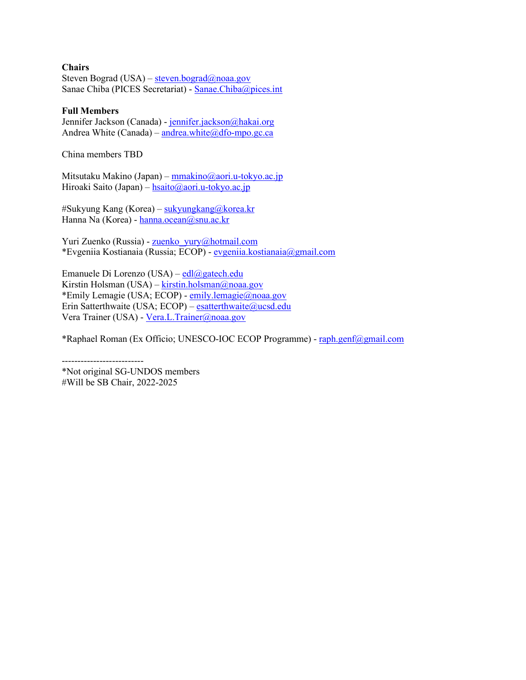#### **Chairs**

Steven Bograd (USA) – steven.bograd@noaa.gov Sanae Chiba (PICES Secretariat) - [Sanae.Chiba@pices.int](mailto:Sanae.Chiba@pices.int) 

#### **Full Members**

Jennifer Jackson (Canada) - jennifer.jackson@hakai.org Andrea White (Canada) – andrea.white  $@d$  fo-mpo.gc.ca

China members TBD

Mitsutaku Makino (Japan) [– mmakino@aori.u-tokyo.ac.jp](mailto:mmakino@aori.u-tokyo.ac.jp)  Hiroaki Saito (Japan) – hsaito@aori.u-tokyo.ac.jp

#Sukyung Kang (Korea) – [sukyungkang@korea.kr](mailto:sukyungkang@korea.kr)  Hanna Na (Korea) - hanna.ocean@snu.ac.kr

Yuri Zuenko (Russia) - [zuenko\\_yury@hotmail.com](mailto:zuenko_yury@hotmail.com)  \*Evgeniia Kostianaia (Russia; ECOP) - [evgeniia.kostianaia@gmail.com](mailto:evgeniia.kostianaia@gmail.com) 

Emanuele Di Lorenzo (USA) – edl@gatech.edu Kirstin Holsman (USA) – kirstin.holsman@noaa.gov \*Emily Lemagie (USA; ECOP) - [emily.lemagie@noaa.gov](mailto:emily.lemagie@noaa.gov)  Erin Satterthwaite (USA; ECOP) – esatterthwaite@ucsd.edu Vera Trainer (USA) [- Vera.L.Trainer@noaa.gov](mailto:Vera.L.Trainer@noaa.gov) 

\*Raphael Roman (Ex Officio; UNESCO-IOC ECOP Programme) - [raph.genf@gmail.com](mailto:raph.genf@gmail.com) 

-------------------------- \*Not original SG-UNDOS members #Will be SB Chair, 2022-2025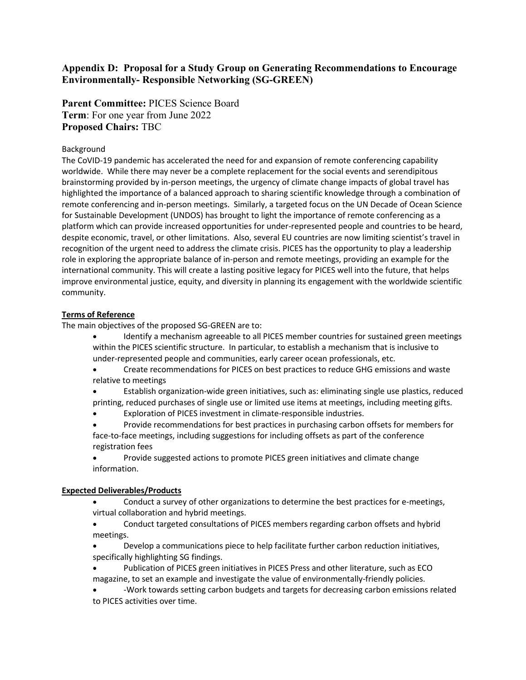## **Appendix D: Proposal for a Study Group on Generating Recommendations to Encourage Environmentally- Responsible Networking (SG-GREEN)**

**Parent Committee:** PICES Science Board **Term**: For one year from June 2022 **Proposed Chairs:** TBC

#### Background

The CoVID-19 pandemic has accelerated the need for and expansion of remote conferencing capability worldwide. While there may never be a complete replacement for the social events and serendipitous brainstorming provided by in-person meetings, the urgency of climate change impacts of global travel has highlighted the importance of a balanced approach to sharing scientific knowledge through a combination of remote conferencing and in-person meetings. Similarly, a targeted focus on the UN Decade of Ocean Science for Sustainable Development (UNDOS) has brought to light the importance of remote conferencing as a platform which can provide increased opportunities for under-represented people and countries to be heard, despite economic, travel, or other limitations. Also, several EU countries are now limiting scientist's travel in recognition of the urgent need to address the climate crisis. PICES has the opportunity to play a leadership role in exploring the appropriate balance of in-person and remote meetings, providing an example for the international community. This will create a lasting positive legacy for PICES well into the future, that helps improve environmental justice, equity, and diversity in planning its engagement with the worldwide scientific community.

#### **Terms of Reference**

The main objectives of the proposed SG-GREEN are to:

- Identify a mechanism agreeable to all PICES member countries for sustained green meetings within the PICES scientific structure. In particular, to establish a mechanism that is inclusive to under-represented people and communities, early career ocean professionals, etc.
- Create recommendations for PICES on best practices to reduce GHG emissions and waste relative to meetings
- Establish organization-wide green initiatives, such as: eliminating single use plastics, reduced printing, reduced purchases of single use or limited use items at meetings, including meeting gifts.
- Exploration of PICES investment in climate-responsible industries.
- Provide recommendations for best practices in purchasing carbon offsets for members for face-to-face meetings, including suggestions for including offsets as part of the conference registration fees
- Provide suggested actions to promote PICES green initiatives and climate change information.

## **Expected Deliverables/Products**

- Conduct a survey of other organizations to determine the best practices for e-meetings, virtual collaboration and hybrid meetings.
- Conduct targeted consultations of PICES members regarding carbon offsets and hybrid meetings.
- Develop a communications piece to help facilitate further carbon reduction initiatives, specifically highlighting SG findings.
- Publication of PICES green initiatives in PICES Press and other literature, such as ECO magazine, to set an example and investigate the value of environmentally-friendly policies.
- -Work towards setting carbon budgets and targets for decreasing carbon emissions related to PICES activities over time.